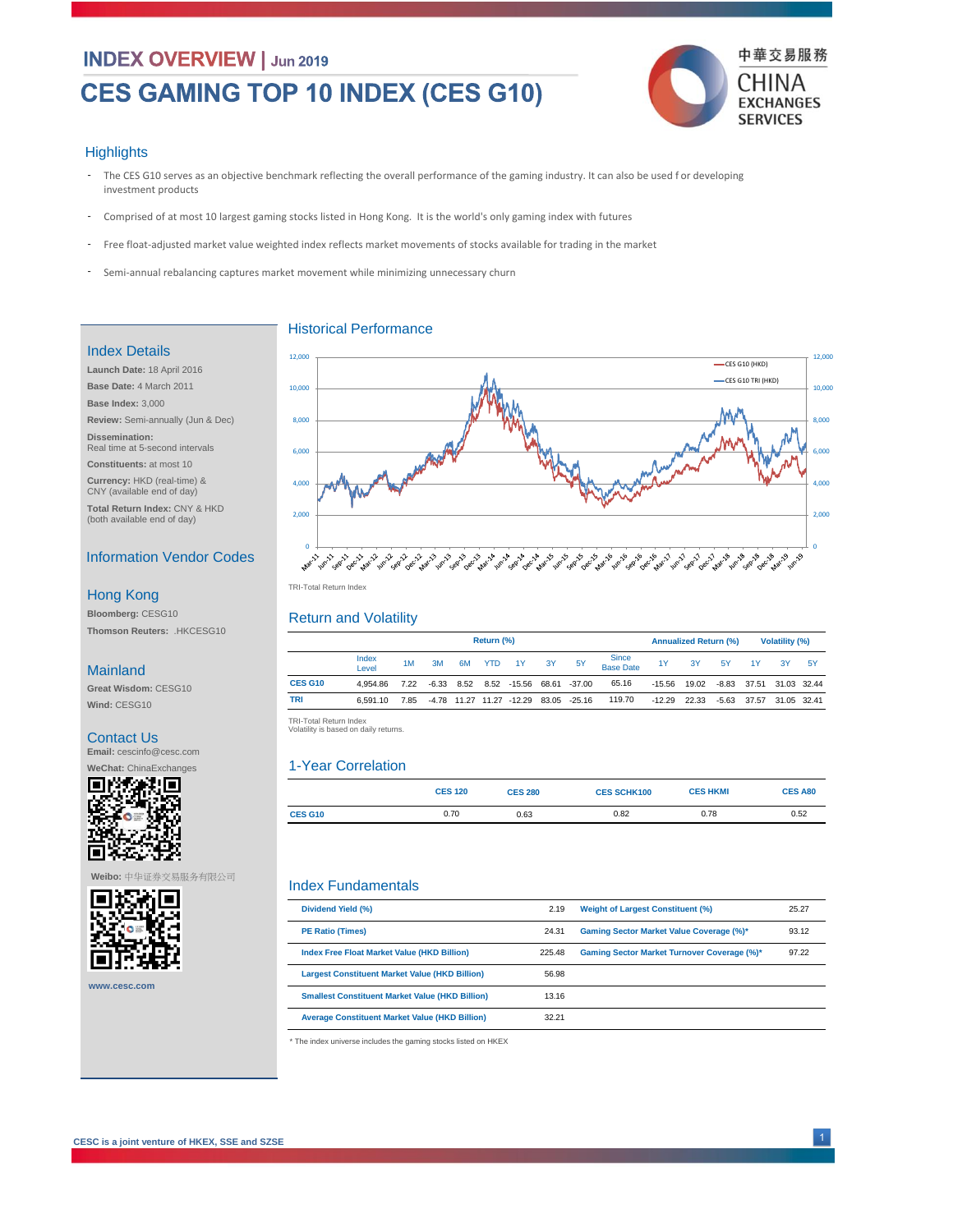# **INDEX OVERVIEW** | Jun 2019

# **CES GAMING TOP 10 INDEX (CES G10)**



## **Highlights**

- The CES G10 serves as an objective benchmark reflecting the overall performance of the gaming industry. It can also be used f or developing investment products
- Comprised of at most 10 largest gaming stocks listed in Hong Kong. It is the world's only gaming index with futures -

Historical Performance

- Free float-adjusted market value weighted index reflects market movements of stocks available for trading in the market -
- Semi-annual rebalancing captures market movement while minimizing unnecessary churn

## Index Details

**Launch Date:** 18 April 2016 **Base Date:** 4 March 2011 **Base Index:** 3,000 **Review:** Semi-annually (Jun & Dec) **Dissemination:**  Real time at 5-second intervals **Constituents:** at most 10 **Currency:** HKD (real-time) & CNY (available end of day) **Total Return Index:** CNY & HKD

# Information Vendor Codes

#### Hong Kong

(both available end of day)

**Bloomberg:** CESG10 **Thomson Reuters:** .HKCESG10

#### Mainland

**Great Wisdom:** CESG10 **Wind:** CESG10

Contact Us

**Email:** cescinfo@cesc.com **WeChat:** ChinaExchanges



**易服务有限公司** 



**www.cesc.com**



TRI -Total Return Index TRI-Total Return Index

#### Return and Volatility

|                | Return (%)     |      |    |    |            |                                     |     | <b>Annualized Return (%)</b>          |                                  |          | <b>Volatility (%)</b> |               |    |             |           |
|----------------|----------------|------|----|----|------------|-------------------------------------|-----|---------------------------------------|----------------------------------|----------|-----------------------|---------------|----|-------------|-----------|
|                | Index<br>Level | 1M   | 3M | 6M | <b>YTD</b> | - 1 Y                               | -3Y | <b>5Y</b>                             | <b>Since</b><br><b>Base Date</b> | 1Y       | 3Y                    | 5Y            | 1Y | 3Y          | <b>5Y</b> |
| <b>CES G10</b> | 4.954.86       | 7.22 |    |    |            | -6.33 8.52 8.52 -15.56 68.61 -37.00 |     |                                       | 65.16                            | $-15.56$ | 19.02                 | -8.83 37.51   |    | 31.03 32.44 |           |
| TRI            | 6.591.10       | 7.85 |    |    |            |                                     |     | -4.78 11.27 11.27 -12.29 83.05 -25.16 | 119.70                           | $-12.29$ | 22.33                 | $-5.63$ 37.57 |    | 31.05 32.41 |           |

Volatility is based on daily returns. Volatility is based on daily returns.

# 1-Year Correlation

| <b>CES 120</b> | <b>CES 280</b> | <b>CES SCHK100</b> | <b>CES HKMI</b> | <b>CES A80</b> |
|----------------|----------------|--------------------|-----------------|----------------|
| <b>CES G10</b> | 0.70<br>0.63   | 0.82               | 0.78            | 0.52           |

### Index Fundamentals

| Dividend Yield (%)                                     | 2.19   | <b>Weight of Largest Constituent (%)</b>           | 25.27 |
|--------------------------------------------------------|--------|----------------------------------------------------|-------|
| <b>PE Ratio (Times)</b>                                | 24.31  | <b>Gaming Sector Market Value Coverage (%)*</b>    | 93.12 |
| Index Free Float Market Value (HKD Billion)            | 225.48 | <b>Gaming Sector Market Turnover Coverage (%)*</b> | 97.22 |
| <b>Largest Constituent Market Value (HKD Billion)</b>  | 56.98  |                                                    |       |
| <b>Smallest Constituent Market Value (HKD Billion)</b> | 13.16  |                                                    |       |
| <b>Average Constituent Market Value (HKD Billion)</b>  | 32.21  |                                                    |       |

\* The index universe includes the gaming stocks listed on HKEX